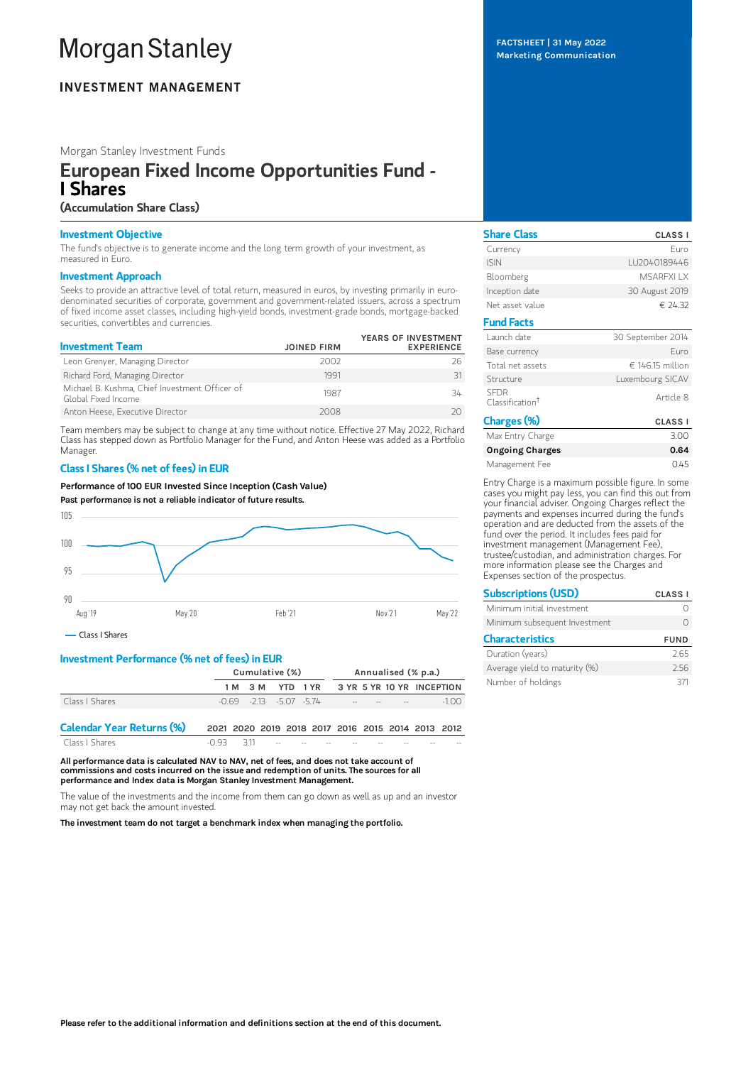# **Morgan Stanley**

# **INVESTMENT MANAGEMENT**

Morgan Stanley Investment Funds

# European Fixed Income Opportunities Fund - I Shares

# (Accumulation Share Class)

## Investment Objective

The fund's objective is to generate income and the long term growth of your investment, as measured in Euro.

### Investment Approach

Seeks to provide an attractive level of total return, measured in euros, by investing primarily in eurodenominated securities of corporate, government and government-related issuers, across a spectrum of fixed income asset classes, including high-yield bonds, investment-grade bonds, mortgage-backed securities, convertibles and currencies.

| <b>Investment Team</b>                                                | <b>JOINED FIRM</b> | YEARS OF INVESTMENT<br><b>EXPERIENCE</b> |
|-----------------------------------------------------------------------|--------------------|------------------------------------------|
| Leon Grenyer, Managing Director                                       | 2002               | 26                                       |
| Richard Ford, Managing Director                                       | 1991               |                                          |
| Michael B. Kushma, Chief Investment Officer of<br>Global Fixed Income | 1987               | 34                                       |
| Anton Heese, Executive Director                                       | 2008               |                                          |

Team members may be subject to change at any time without notice. Effective 27 May 2022, Richard Class has stepped down as Portfolio Manager for the Fund, and Anton Heese was added as a Portfolio Manager.

## Class I Shares (% net of fees) in EUR

Performance of 100 EUR Invested Since Inception (Cash Value)

Past performance is not a reliable indicator of future results.



# Investment Performance (% net of fees) in EUR

|                                  | Cumulative (%) |                             |  | Annualised (% p.a.)                               |                                        |  |  |  |        |
|----------------------------------|----------------|-----------------------------|--|---------------------------------------------------|----------------------------------------|--|--|--|--------|
|                                  |                | 1 M 3 M                     |  | YTD 1YR 3 YR 5 YR 10 YR INCEPTION                 |                                        |  |  |  |        |
| Class I Shares                   |                | $-0.69 - 213 - 5.07 - 5.74$ |  |                                                   | the control of the control of the con- |  |  |  | $-100$ |
| <b>Calendar Year Returns (%)</b> |                |                             |  | 2021 2020 2019 2018 2017 2016 2015 2014 2013 2012 |                                        |  |  |  |        |
| Class   Shares                   | -0.93          | 311                         |  |                                                   |                                        |  |  |  |        |

All performance data is calculated NAV to NAV, net of fees, and does not take account of commissions and costs incurred on the issue and redemption of units. The sources for all performance and Index data is Morgan Stanley Investment Management.

The value of the investments and the income from them can go down as well as up and an investor may not get back the amount invested.

The investment team do not target a benchmark index when managing the portfolio.

FACTSHEET | 31 May 2022 Marketing Communication

| <b>Share Class</b>                         | <b>CLASS I</b>    |
|--------------------------------------------|-------------------|
| Currency                                   | Furo              |
| <b>ISIN</b>                                | LU2040189446      |
| Bloomberg                                  | <b>MSAREXIIX</b>  |
| Inception date                             | 30 August 2019    |
| Net asset value                            | € 24.32           |
| <b>Fund Facts</b>                          |                   |
| Launch date                                | 30 September 2014 |
| Base currency                              | Furo              |
| Total net assets                           | € 146.15 million  |
| Structure                                  | Luxembourg SICAV  |
| <b>SEDR</b><br>Classification <sup>†</sup> | Article 8         |
| Charges (%)                                | <b>CLASS I</b>    |
| Max Entry Charge                           | 3.00              |
| Ongoing Charges                            | በ 64              |

Ongoing C Management Fee 0.45

Entry Charge is a maximum possible figure. In some cases you might pay less, you can find this out from your financial adviser. Ongoing Charges reflect the payments and expenses incurred during the fund's operation and are deducted from the assets of the fund over the period. It includes fees paid for investment management (Management Fee), trustee/custodian, and administration charges. For more information please see the Charges and Expenses section of the prospectus.

| <b>Subscriptions (USD)</b>    | <b>CLASS I</b> |  |  |
|-------------------------------|----------------|--|--|
| Minimum initial investment    |                |  |  |
| Minimum subsequent Investment |                |  |  |
| <b>Characteristics</b>        | <b>FUND</b>    |  |  |
| Duration (years)              | 2.65           |  |  |
| Average yield to maturity (%) | 256            |  |  |
| Number of holdings            | 37             |  |  |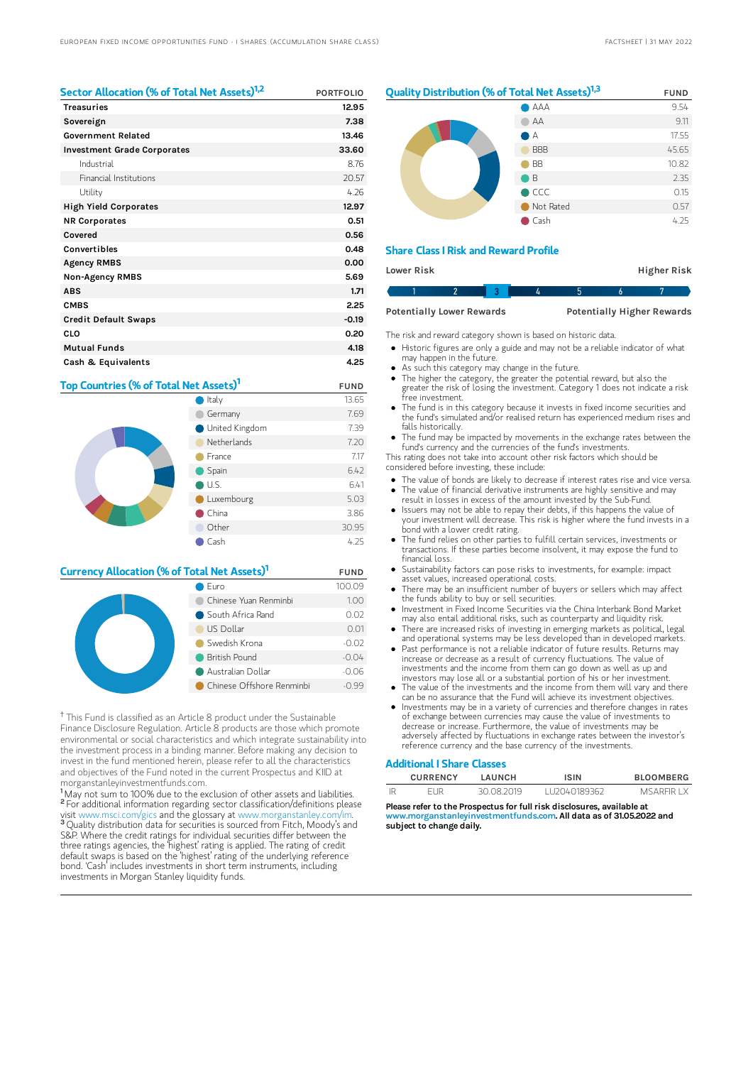| Sector Allocation (% of Total Net Assets) <sup>1,2</sup> | <b>PORTFOLIO</b> |
|----------------------------------------------------------|------------------|
| <b>Treasuries</b>                                        | 12.95            |
| Sovereign                                                | 7.38             |
| <b>Government Related</b>                                | 13.46            |
| <b>Investment Grade Corporates</b>                       | 33.60            |
| Industrial                                               | 8.76             |
| Financial Institutions                                   | 20.57            |
| Utility                                                  | 4.26             |
| <b>High Yield Corporates</b>                             | 12.97            |
| <b>NR Corporates</b>                                     | 0.51             |
| Covered                                                  | 0.56             |
| Convertibles                                             | 0.48             |
| <b>Agency RMBS</b>                                       | 0.00             |
| <b>Non-Agency RMBS</b>                                   | 5.69             |
| <b>ABS</b>                                               | 1.71             |
| <b>CMBS</b>                                              | 2.25             |
| <b>Credit Default Swaps</b>                              | $-0.19$          |
| CLO                                                      | 0.20             |
| <b>Mutual Funds</b>                                      | 4.18             |
| Cash & Equivalents                                       | 4.25             |

# Top Countries (% of Total Net Assets)<sup>1</sup> FUND



## **Currency Allocation (% of Total Net Assets)<sup>1</sup> FUND**

| Euro                      | 100.09  |
|---------------------------|---------|
| Chinese Yuan Renminbi     | 1.00    |
| South Africa Rand         | 0.02    |
| US Dollar                 | 0.01    |
| Swedish Krona             | $-0.02$ |
| <b>British Pound</b>      | $-0.04$ |
| Australian Dollar         | $-0.06$ |
| Chinese Offshore Renminbi | $-0.99$ |

<sup>†</sup> This Fund is classified as an Article 8 product under the Sustainable Finance Disclosure Regulation. Article 8 products are those which promote environmental or social characteristics and which integrate sustainability into the investment process in a binding manner. Before making any decision to invest in the fund mentioned herein, please refer to all the characteristics and objectives of the Fund noted in the current Prospectus and KIID at morganstanleyinvestmentfunds.com.

<sup>1</sup>May not sum to 100% due to the exclusion of other assets and liabilities. <sup>2</sup> For additional information regarding sector classification/definitions please visit www.msci.com/gics and the glossary at www.morganstanley.com/im. <sup>3</sup> Quality distribution data for securities is sourced from Fitch, Moody's and S&P. Where the credit ratings for individual securities differ between the three ratings agencies, the 'highest' rating is applied. The rating of credit default swaps is based on the 'highest' rating of the underlying reference bond. 'Cash' includes investments in short term instruments, including investments in Morgan Stanley liquidity funds.

# **Quality Distribution (% of Total Net Assets)**<sup>1,3</sup> FUND



#### Share Class I Risk and Reward Profile

| Lower Risk |  |                                  |  |  | <b>Higher Risk</b> |                                   |  |
|------------|--|----------------------------------|--|--|--------------------|-----------------------------------|--|
|            |  |                                  |  |  |                    |                                   |  |
|            |  | <b>Potentially Lower Rewards</b> |  |  |                    | <b>Potentially Higher Rewards</b> |  |

The risk and reward category shown is based on historic data.

- Historic figures are only a guide and may not be a reliable indicator of what may happen in the future.
- As such this category may change in the future.
- The higher the category, the greater the potential reward, but also the greater the risk of losing the investment. Category 1 does not indicate a risk .<br>free investment
- The fund is in this category because it invests in fixed income securities and the fund's simulated and/or realised return has experienced medium rises and falls historically.
- The fund may be impacted by movements in the exchange rates between the fund's currency and the currencies of the fund's investments.

This rating does not take into account other risk factors which should be considered before investing, these include:

- The value of bonds are likely to decrease if interest rates rise and vice versa.
- The value of financial derivative instruments are highly sensitive and may result in losses in excess of the amount invested by the Sub-Fund.
- Issuers may not be able to repay their debts, if this happens the value of  $\bullet$ your investment will decrease. This risk is higher where the fund invests in a bond with a lower credit rating.
- The fund relies on other parties to fulfill certain services, investments or transactions. If these parties become insolvent, it may expose the fund to financial loss.
- Sustainability factors can pose risks to investments, for example: impact asset values, increased operational costs.
- There may be an insufficient number of buyers or sellers which may affect the funds ability to buy or sell securities.
- Investment in Fixed Income Securities via the China Interbank Bond Market  $\bullet$ may also entail additional risks, such as counterparty and liquidity risk.
- There are increased risks of investing in emerging markets as political, legal and operational systems may be less developed than in developed markets. Past performance is not a reliable indicator of future results. Returns may
- increase or decrease as a result of currency fluctuations. The value of investments and the income from them can go down as well as up and investors may lose all or a substantial portion of his or her investment.
- The value of the investments and the income from them will vary and there can be no assurance that the Fund will achieve its investment objectives.
- Investments may be in a variety of currencies and therefore changes in rates of exchange between currencies may cause the value of investments to decrease or increase. Furthermore, the value of investments may be adversely affected by fluctuations in exchange rates between the investor's reference currency and the base currency of the investments.

#### Additional I Share Classes

| <b>CURRENCY</b> | LAUNCH     | <b>ISIN</b>  | <b>BLOOMBERG</b> |
|-----------------|------------|--------------|------------------|
| FI JR           | 30.08.2019 | LU2040189362 | MSARFIR I X      |

Please refer to the Prospectus for full risk disclosures, available at<br>www.morganstanleyinvestmentfunds.com. All data as of 31.05.202 winvestmentfunds.com. All data as of 31.05.2022 and subject to change daily.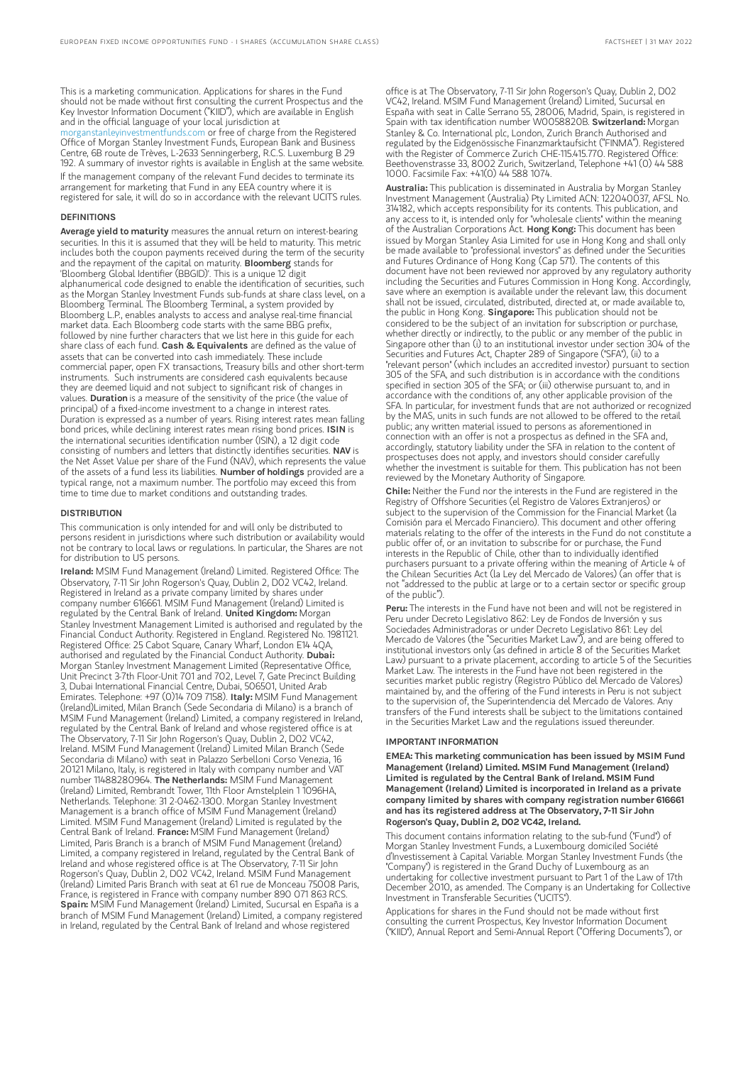This is a marketing communication. Applications for shares in the Fund should not be made without first consulting the current Prospectus and the Key Investor Information Document ("KIID"), which are available in English and in the official language of your local jurisdiction at [morganstanleyinvestmentfunds.com](https://www.morganstanley.com/im/msinvf/index.html) or free of charge from the Registered Office of Morgan Stanley Investment Funds, European Bank and Business Centre, 6B route de Trèves, L-2633 Senningerberg, R.C.S. Luxemburg B 29 192. A summary of investor rights is available in English at the same website. If the management company of the relevant Fund decides to terminate its arrangement for marketing that Fund in any EEA country where it is registered for sale, it will do so in accordance with the relevant UCITS rules.

#### DEFINITIONS

Average yield to maturity measures the annual return on interest-bearing securities. In this it is assumed that they will be held to maturity. This metric includes both the coupon payments received during the term of the security and the repayment of the capital on maturity. **Bloomberg** stands for 'Bloomberg Global Identifier (BBGID)'. This is a unique 12 digit alphanumerical code designed to enable the identification of securities, such as the Morgan Stanley Investment Funds sub-funds at share class level, on a Bloomberg Terminal. The Bloomberg Terminal, a system provided by Bloomberg L.P., enables analysts to access and analyse real-time financial market data. Each Bloomberg code starts with the same BBG prefix, followed by nine further characters that we list here in this guide for each share class of each fund. Cash & Equivalents are defined as the value of assets that can be converted into cash immediately. These include commercial paper, open FX transactions, Treasury bills and other short-term instruments. Such instruments are considered cash equivalents because they are deemed liquid and not subject to significant risk of changes in values. Duration is a measure of the sensitivity of the price (the value of principal) of a fixed-income investment to a change in interest rates. Duration is expressed as a number of years. Rising interest rates mean falling<br>bond prices, while declining interest rates mean rising bond prices. **ISIN** is the international securities identification number (ISIN), a 12 digit code consisting of numbers and letters that distinctly identifies securities. NAV is the Net Asset Value per share of the Fund (NAV), which represents the value of the assets of a fund less its liabilities. Number of holdings provided are a typical range, not a maximum number. The portfolio may exceed this from time to time due to market conditions and outstanding trades.

#### **DISTRIBUTION**

This communication is only intended for and will only be distributed to persons resident in jurisdictions where such distribution or availability would not be contrary to local laws or regulations. In particular, the Shares are not for distribution to US persons.

Ireland: MSIM Fund Management (Ireland) Limited. Registered Office: The Observatory, 7-11 Sir John Rogerson's Quay, Dublin 2, D02 VC42, Ireland. Registered in Ireland as a private company limited by shares under company number 616661. MSIM Fund Management (Ireland) Limited is regulated by the Central Bank of Ireland. United Kingdom: Morgan Stanley Investment Management Limited is authorised and regulated by the Financial Conduct Authority. Registered in England. Registered No. 1981121. Registered Office: 25 Cabot Square, Canary Wharf, London E14 4QA,<br>authorised and regulated by the Financial Conduct Authority. **Dubai:** Morgan Stanley Investment Management Limited (Representative Office, Unit Precinct 3-7th Floor-Unit 701 and 702, Level 7, Gate Precinct Building 3, Dubai International Financial Centre, Dubai, 506501, United Arab<br>Emirates. Telephone: +97 (0)14 709 7158). **Italy:** MSIM Fund Management (Ireland)Limited, Milan Branch (Sede Secondaria di Milano) is a branch of MSIM Fund Management (Ireland) Limited, a company registered in Ireland, regulated by the Central Bank of Ireland and whose registered office is at The Observatory, 7-11 Sir John Rogerson's Quay, Dublin 2, D02 VC42, Ireland. MSIM Fund Management (Ireland) Limited Milan Branch (Sede Secondaria di Milano) with seat in Palazzo Serbelloni Corso Venezia, 16 20121 Milano, Italy, is registered in Italy with company number and VAT number 11488280964. The Netherlands: MSIM Fund Management (Ireland) Limited, Rembrandt Tower, 11th Floor Amstelplein 1 1096HA, Netherlands. Telephone: 31 2-0462-1300. Morgan Stanley Investment Management is a branch office of MSIM Fund Management (Ireland) Limited. MSIM Fund Management (Ireland) Limited is regulated by the<br>Central Bank of Ireland. **France:** MSIM Fund Management (Ireland) Limited, Paris Branch is a branch of MSIM Fund Management (Ireland) Limited, a company registered in Ireland, regulated by the Central Bank of Ireland and whose registered office is at The Observatory, 7-11 Sir John Rogerson's Quay, Dublin 2, D02 VC42, Ireland. MSIM Fund Management (Ireland) Limited Paris Branch with seat at 61 rue de Monceau 75008 Paris, France, is registered in France with company number 890 071 863 RCS. Spain: MSIM Fund Management (Ireland) Limited, Sucursal en España is a branch of MSIM Fund Management (Ireland) Limited, a company registered in Ireland, regulated by the Central Bank of Ireland and whose registered

office is at The Observatory, 7-11 Sir John Rogerson's Quay, Dublin 2, D02 VC42, Ireland. MSIM Fund Management (Ireland) Limited, Sucursal en España with seat in Calle Serrano 55, 28006, Madrid, Spain, is registered in Spain with tax identification number W0058820B. Switzerland: Morgan Stanley & Co. International plc, London, Zurich Branch Authorised and regulated by the Eidgenössische Finanzmarktaufsicht ("FINMA"). Registered with the Register of Commerce Zurich CHE-115.415.770. Registered Office: Beethovenstrasse 33, 8002 Zurich, Switzerland, Telephone +41 (0) 44 588 1000. Facsimile Fax: +41(0) 44 588 1074.

Australia: This publication is disseminated in Australia by Morgan Stanley Investment Management (Australia) Pty Limited ACN: 122040037, AFSL No. 314182, which accepts responsibility for its contents. This publication, and any access to it, is intended only for "wholesale clients" within the meaning of the Australian Corporations Act. Hong Kong: This document has been issued by Morgan Stanley Asia Limited for use in Hong Kong and shall only be made available to "professional investors" as defined under the Securities and Futures Ordinance of Hong Kong (Cap 571). The contents of this document have not been reviewed nor approved by any regulatory authority including the Securities and Futures Commission in Hong Kong. Accordingly, save where an exemption is available under the relevant law, this document shall not be issued, circulated, distributed, directed at, or made available to, the public in Hong Kong. Singapore: This publication should not be considered to be the subject of an invitation for subscription or purchase, whether directly or indirectly, to the public or any member of the public Singapore other than (i) to an institutional investor under section 304 of the Securities and Futures Act, Chapter 289 of Singapore ("SFA"), (ii) to a "relevant person" (which includes an accredited investor) pursuant to section 305 of the SFA, and such distribution is in accordance with the conditions specified in section 305 of the SFA; or (iii) otherwise pursuant to, and in accordance with the conditions of, any other applicable provision of the SFA. In particular, for investment funds that are not authorized or recognized by the MAS, units in such funds are not allowed to be offered to the retail public; any written material issued to persons as aforementioned in connection with an offer is not a prospectus as defined in the SFA and, accordingly, statutory liability under the SFA in relation to the content of prospectuses does not apply, and investors should consider carefully whether the investment is suitable for them. This publication has not been reviewed by the Monetary Authority of Singapore.

Chile: Neither the Fund nor the interests in the Fund are registered in the Registry of Offshore Securities (el Registro de Valores Extranjeros) or subject to the supervision of the Commission for the Financial Market (la Comisión para el Mercado Financiero). This document and other offering materials relating to the offer of the interests in the Fund do not constitute a public offer of, or an invitation to subscribe for or purchase, the Fund interests in the Republic of Chile, other than to individually identified purchasers pursuant to a private offering within the meaning of Article 4 of the Chilean Securities Act (la Ley del Mercado de Valores) (an offer that is not "addressed to the public at large or to a certain sector or specific group of the public").

Peru: The interests in the Fund have not been and will not be registered in Peru under Decreto Legislativo 862: Ley de Fondos de Inversión y sus Sociedades Administradoras or under Decreto Legislativo 861: Ley del Mercado de Valores (the "Securities Market Law"), and are being offered to institutional investors only (as defined in article 8 of the Securities Market Law) pursuant to a private placement, according to article 5 of the Securities Market Law. The interests in the Fund have not been registered in the securities market public registry (Registro Público del Mercado de Valores) maintained by, and the offering of the Fund interests in Peru is not subject to the supervision of, the Superintendencia del Mercado de Valores. Any transfers of the Fund interests shall be subject to the limitations contained in the Securities Market Law and the regulations issued thereunder.

#### IMPORTANT INFORMATION

EMEA: This marketing communication has been issued by MSIM Fund Management (Ireland) Limited. MSIM Fund Management (Ireland) Limited is regulated by the Central Bank of Ireland. MSIM Fund Management (Ireland) Limited is incorporated in Ireland as a private company limited by shares with company registration number 616661 and has its registered address at The Observatory, 7-11 Sir John Rogerson's Quay, Dublin 2, D02 VC42, Ireland.

This document contains information relating to the sub-fund ("Fund") of Morgan Stanley Investment Funds, a Luxembourg domiciled Société d'Investissement à Capital Variable. Morgan Stanley Investment Funds (the "Company") is registered in the Grand Duchy of Luxembourg as an undertaking for collective investment pursuant to Part 1 of the Law of 17th December 2010, as amended. The Company is an Undertaking for Collective Investment in Transferable Securities ("UCITS").

Applications for shares in the Fund should not be made without first consulting the current Prospectus, Key Investor Information Document ("KIID"), Annual Report and Semi-Annual Report ("Offering Documents"), or